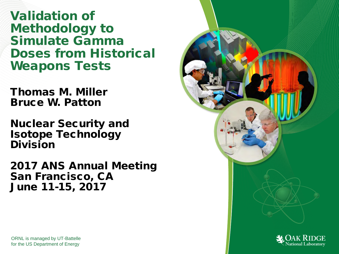Validation of Methodology to Simulate Gamma Doses from Historical Weapons Tests

Thomas M. Miller Bruce W. Patton

Nuclear Security and Isotope Technology Division

2017 ANS Annual Meeting San Francisco, CA June 11-15, 2017



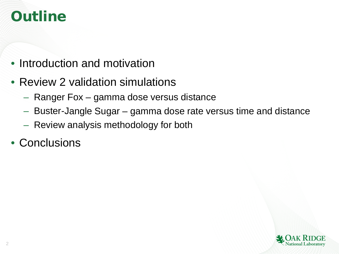# **Outline**

- Introduction and motivation
- Review 2 validation simulations
	- Ranger Fox gamma dose versus distance
	- Buster-Jangle Sugar gamma dose rate versus time and distance
	- Review analysis methodology for both
- Conclusions

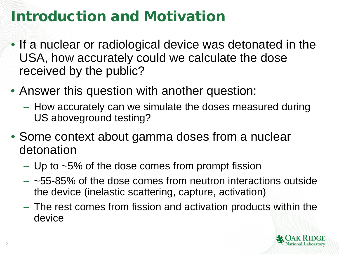# Introduction and Motivation

- If a nuclear or radiological device was detonated in the USA, how accurately could we calculate the dose received by the public?
- Answer this question with another question:
	- How accurately can we simulate the doses measured during US aboveground testing?
- Some context about gamma doses from a nuclear detonation
	- $-$  Up to  $\sim$ 5% of the dose comes from prompt fission
	- $-$  ~55-85% of the dose comes from neutron interactions outside the device (inelastic scattering, capture, activation)
	- The rest comes from fission and activation products within the device

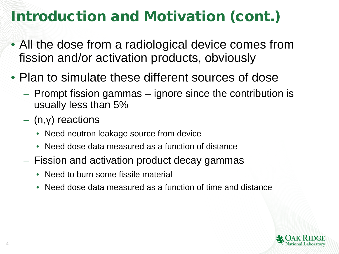# Introduction and Motivation (cont.)

- All the dose from a radiological device comes from fission and/or activation products, obviously
- Plan to simulate these different sources of dose
	- Prompt fission gammas ignore since the contribution is usually less than 5%
	- (n,γ) reactions
		- Need neutron leakage source from device
		- Need dose data measured as a function of distance
	- Fission and activation product decay gammas
		- Need to burn some fissile material
		- Need dose data measured as a function of time and distance

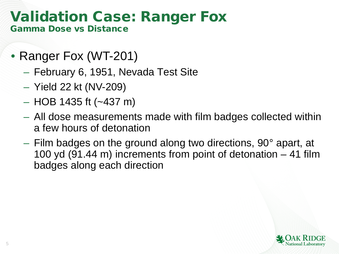### Validation Case: Ranger Fox Gamma Dose vs Distance

- Ranger Fox (WT-201)
	- February 6, 1951, Nevada Test Site
	- Yield 22 kt (NV-209)
	- $-$  HOB 1435 ft ( $\sim$ 437 m)
	- All dose measurements made with film badges collected within a few hours of detonation
	- Film badges on the ground along two directions, 90° apart, at 100 yd (91.44 m) increments from point of detonation – 41 film badges along each direction

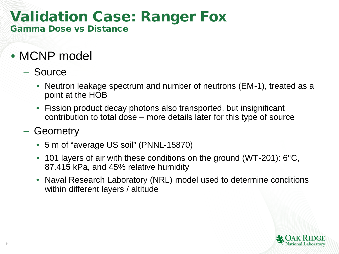### Validation Case: Ranger Fox Gamma Dose vs Distance

- MCNP model
	- Source
		- Neutron leakage spectrum and number of neutrons (EM-1), treated as a point at the HOB
		- Fission product decay photons also transported, but insignificant contribution to total dose – more details later for this type of source
	- Geometry
		- 5 m of "average US soil" (PNNL-15870)
		- 101 layers of air with these conditions on the ground (WT-201): 6°C, 87.415 kPa, and 45% relative humidity
		- Naval Research Laboratory (NRL) model used to determine conditions within different layers / altitude

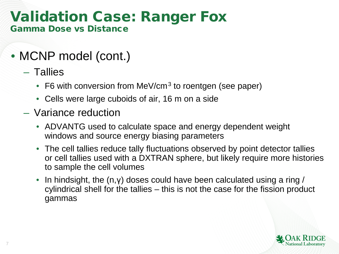### Validation Case: Ranger Fox Gamma Dose vs Distance

- MCNP model (cont.)
	- Tallies

7

- F6 with conversion from MeV/cm<sup>3</sup> to roentgen (see paper)
- Cells were large cuboids of air, 16 m on a side
- Variance reduction
	- ADVANTG used to calculate space and energy dependent weight windows and source energy biasing parameters
	- The cell tallies reduce tally fluctuations observed by point detector tallies or cell tallies used with a DXTRAN sphere, but likely require more histories to sample the cell volumes
	- In hindsight, the  $(n,y)$  doses could have been calculated using a ring / cylindrical shell for the tallies – this is not the case for the fission product gammas

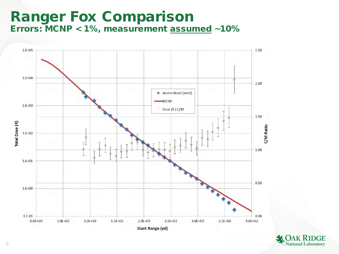### Ranger Fox Comparison Errors: MCNP < 1%, measurement assumed ~10%



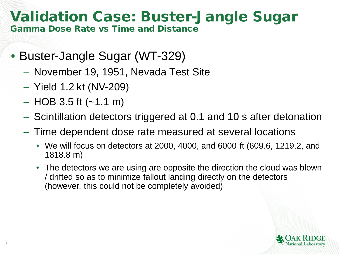#### Validation Case: Buster-Jangle Sugar Gamma Dose Rate vs Time and Distance

- Buster-Jangle Sugar (WT-329)
	- November 19, 1951, Nevada Test Site
	- Yield 1.2 kt (NV-209)
	- $-$  HOB 3.5 ft ( $-1.1$  m)
	- Scintillation detectors triggered at 0.1 and 10 s after detonation
	- Time dependent dose rate measured at several locations
		- We will focus on detectors at 2000, 4000, and 6000 ft (609.6, 1219.2, and 1818.8 m)
		- The detectors we are using are opposite the direction the cloud was blown / drifted so as to minimize fallout landing directly on the detectors (however, this could not be completely avoided)

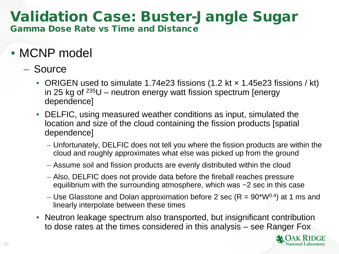# Validation Case: Buster-Jangle Sugar

Gamma Dose Rate vs Time and Distance

### • MCNP model

- Source
	- ORIGEN used to simulate 1.74e23 fissions (1.2 kt  $\times$  1.45e23 fissions / kt) in 25 kg of  $235U$  – neutron energy watt fission spectrum [energy dependence]
	- DELFIC, using measured weather conditions as input, simulated the location and size of the cloud containing the fission products [spatial dependence]
		- Unfortunately, DELFIC does not tell you where the fission products are within the cloud and roughly approximates what else was picked up from the ground
		- Assume soil and fission products are evenly distributed within the cloud
		- Also, DELFIC does not provide data before the fireball reaches pressure equilibrium with the surrounding atmosphere, which was ~2 sec in this case
		- Use Glasstone and Dolan approximation before 2 sec ( $R = 90*W^{0.4}$ ) at 1 ms and linearly interpolate between these times
	- Neutron leakage spectrum also transported, but insignificant contribution to dose rates at the times considered in this analysis – see Ranger Fox

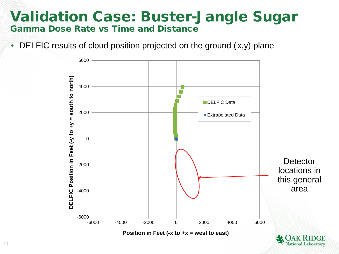### Validation Case: Buster-Jangle Sugar Gamma Dose Rate vs Time and Distance

• DELFIC results of cloud position projected on the ground  $(x,y)$  plane

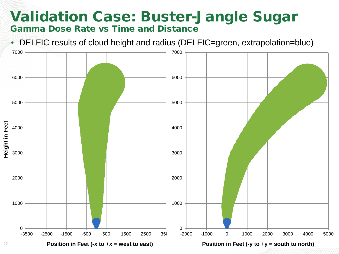### Validation Case: Buster-Jangle Sugar Gamma Dose Rate vs Time and Distance

• DELFIC results of cloud height and radius (DELFIC=green, extrapolation=blue)

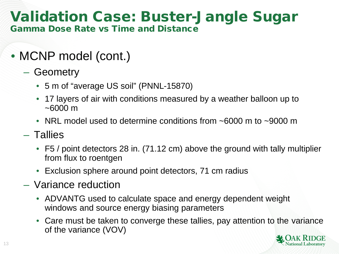# Validation Case: Buster-Jangle Sugar

Gamma Dose Rate vs Time and Distance

- MCNP model (cont.)
	- Geometry
		- 5 m of "average US soil" (PNNL-15870)
		- 17 layers of air with conditions measured by a weather balloon up to  $~1000 \text{ m}$
		- NRL model used to determine conditions from ~6000 m to ~9000 m
	- Tallies
		- F5 / point detectors 28 in. (71.12 cm) above the ground with tally multiplier from flux to roentgen
		- Exclusion sphere around point detectors, 71 cm radius
	- Variance reduction
		- ADVANTG used to calculate space and energy dependent weight windows and source energy biasing parameters
		- Care must be taken to converge these tallies, pay attention to the variance of the variance (VOV)

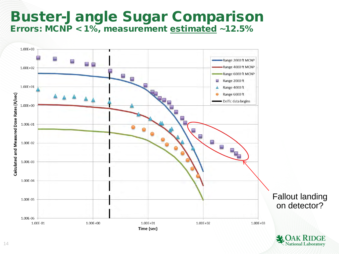### Buster-Jangle Sugar Comparison Errors: MCNP < 1%, measurement estimated ~12.5%



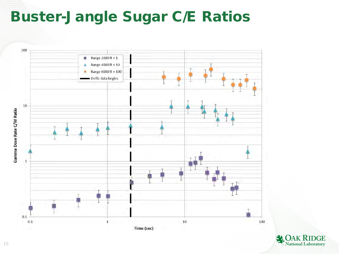## Buster-Jangle Sugar C/E Ratios